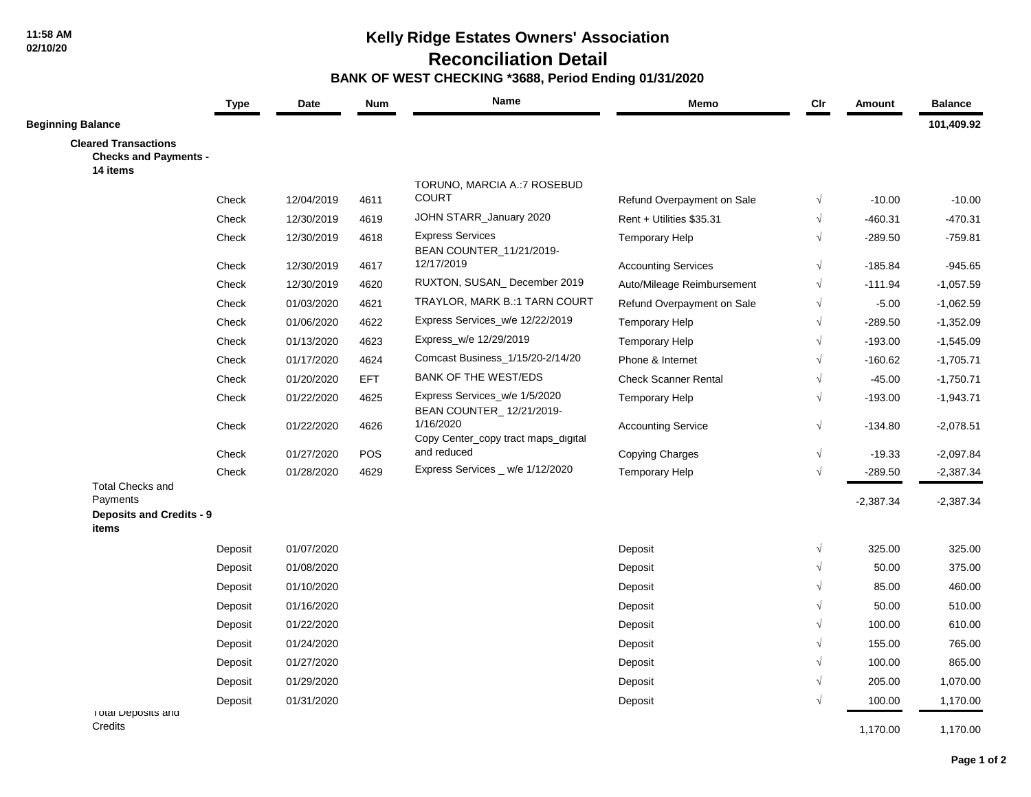**11:58 AM 02/10/20**

# **Kelly Ridge Estates Owners' Association**

 **Reconciliation Detail**

#### **BANK OF WEST CHECKING \*3688, Period Ending 01/31/2020**

|                                                                         | <b>Type</b> | Date       | <b>Num</b> | Name                                                      | Memo                        | $_{\text{Clr}}$ | <b>Amount</b> | <b>Balance</b> |
|-------------------------------------------------------------------------|-------------|------------|------------|-----------------------------------------------------------|-----------------------------|-----------------|---------------|----------------|
| <b>Beginning Balance</b>                                                |             |            |            |                                                           |                             |                 |               | 101,409.92     |
| <b>Cleared Transactions</b><br><b>Checks and Payments -</b><br>14 items |             |            |            |                                                           |                             |                 |               |                |
|                                                                         |             |            |            | TORUNO, MARCIA A.: 7 ROSEBUD                              |                             |                 |               |                |
|                                                                         | Check       | 12/04/2019 | 4611       | <b>COURT</b>                                              | Refund Overpayment on Sale  | $\sqrt{ }$      | $-10.00$      | $-10.00$       |
|                                                                         | Check       | 12/30/2019 | 4619       | JOHN STARR_January 2020                                   | Rent + Utilities \$35.31    | $\sqrt{ }$      | $-460.31$     | $-470.31$      |
|                                                                         | Check       | 12/30/2019 | 4618       | <b>Express Services</b><br>BEAN COUNTER_11/21/2019-       | <b>Temporary Help</b>       | $\sqrt{ }$      | $-289.50$     | $-759.81$      |
|                                                                         | Check       | 12/30/2019 | 4617       | 12/17/2019                                                | <b>Accounting Services</b>  | $\sqrt{ }$      | $-185.84$     | $-945.65$      |
|                                                                         | Check       | 12/30/2019 | 4620       | RUXTON, SUSAN_December 2019                               | Auto/Mileage Reimbursement  | $\sqrt{}$       | $-111.94$     | $-1,057.59$    |
|                                                                         | Check       | 01/03/2020 | 4621       | TRAYLOR, MARK B.:1 TARN COURT                             | Refund Overpayment on Sale  | $\sqrt{}$       | $-5.00$       | $-1,062.59$    |
|                                                                         | Check       | 01/06/2020 | 4622       | Express Services_w/e 12/22/2019                           | <b>Temporary Help</b>       | $\sqrt{ }$      | $-289.50$     | $-1,352.09$    |
|                                                                         | Check       | 01/13/2020 | 4623       | Express_w/e 12/29/2019                                    | <b>Temporary Help</b>       | $\sqrt{}$       | $-193.00$     | $-1,545.09$    |
|                                                                         | Check       | 01/17/2020 | 4624       | Comcast Business_1/15/20-2/14/20                          | Phone & Internet            | $\sqrt{}$       | $-160.62$     | $-1,705.71$    |
|                                                                         | Check       | 01/20/2020 | <b>EFT</b> | <b>BANK OF THE WEST/EDS</b>                               | <b>Check Scanner Rental</b> | $\sqrt{}$       | $-45.00$      | $-1,750.71$    |
|                                                                         | Check       | 01/22/2020 | 4625       | Express Services_w/e 1/5/2020<br>BEAN COUNTER_12/21/2019- | <b>Temporary Help</b>       | $\sqrt{ }$      | $-193.00$     | $-1,943.71$    |
|                                                                         | Check       | 01/22/2020 | 4626       | 1/16/2020<br>Copy Center_copy tract maps_digital          | <b>Accounting Service</b>   | $\sqrt{}$       | -134.80       | $-2,078.51$    |
|                                                                         | Check       | 01/27/2020 | <b>POS</b> | and reduced                                               | <b>Copying Charges</b>      | $\sqrt{ }$      | $-19.33$      | $-2,097.84$    |
|                                                                         | Check       | 01/28/2020 | 4629       | Express Services _ w/e 1/12/2020                          | <b>Temporary Help</b>       | $\sqrt{ }$      | $-289.50$     | $-2,387.34$    |
| <b>Total Checks and</b><br>Payments                                     |             |            |            |                                                           |                             |                 | $-2,387.34$   | $-2,387.34$    |
| <b>Deposits and Credits - 9</b><br>items                                |             |            |            |                                                           |                             |                 |               |                |
|                                                                         | Deposit     | 01/07/2020 |            |                                                           | Deposit                     | $\sqrt{}$       | 325.00        | 325.00         |
|                                                                         | Deposit     | 01/08/2020 |            |                                                           | Deposit                     | $\sqrt{ }$      | 50.00         | 375.00         |
|                                                                         | Deposit     | 01/10/2020 |            |                                                           | Deposit                     | $\sqrt{}$       | 85.00         | 460.00         |
|                                                                         | Deposit     | 01/16/2020 |            |                                                           | Deposit                     | $\sqrt{}$       | 50.00         | 510.00         |
|                                                                         | Deposit     | 01/22/2020 |            |                                                           | Deposit                     | $\sqrt{}$       | 100.00        | 610.00         |
|                                                                         | Deposit     | 01/24/2020 |            |                                                           | Deposit                     | $\sqrt{}$       | 155.00        | 765.00         |
|                                                                         | Deposit     | 01/27/2020 |            |                                                           | Deposit                     | $\sqrt{ }$      | 100.00        | 865.00         |
|                                                                         | Deposit     | 01/29/2020 |            |                                                           | Deposit                     | $\sqrt{ }$      | 205.00        | 1,070.00       |
| I otal Deposits and                                                     | Deposit     | 01/31/2020 |            |                                                           | Deposit                     | $\sqrt{ }$      | 100.00        | 1,170.00       |
| Credits                                                                 |             |            |            |                                                           |                             |                 | 1,170.00      | 1,170.00       |